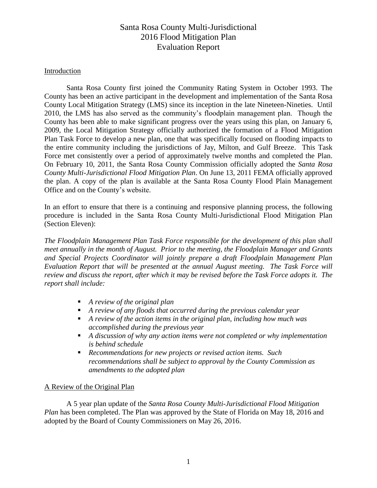#### Introduction

Santa Rosa County first joined the Community Rating System in October 1993. The County has been an active participant in the development and implementation of the Santa Rosa County Local Mitigation Strategy (LMS) since its inception in the late Nineteen-Nineties. Until 2010, the LMS has also served as the community's floodplain management plan. Though the County has been able to make significant progress over the years using this plan, on January 6, 2009, the Local Mitigation Strategy officially authorized the formation of a Flood Mitigation Plan Task Force to develop a new plan, one that was specifically focused on flooding impacts to the entire community including the jurisdictions of Jay, Milton, and Gulf Breeze. This Task Force met consistently over a period of approximately twelve months and completed the Plan. On February 10, 2011, the Santa Rosa County Commission officially adopted the *Santa Rosa County Multi-Jurisdictional Flood Mitigation Plan*. On June 13, 2011 FEMA officially approved the plan. A copy of the plan is available at the Santa Rosa County Flood Plain Management Office and on the County's website.

In an effort to ensure that there is a continuing and responsive planning process, the following procedure is included in the Santa Rosa County Multi-Jurisdictional Flood Mitigation Plan (Section Eleven):

*The Floodplain Management Plan Task Force responsible for the development of this plan shall meet annually in the month of August. Prior to the meeting, the Floodplain Manager and Grants and Special Projects Coordinator will jointly prepare a draft Floodplain Management Plan Evaluation Report that will be presented at the annual August meeting. The Task Force will review and discuss the report, after which it may be revised before the Task Force adopts it. The report shall include:*

- *A review of the original plan*
- *A review of any floods that occurred during the previous calendar year*
- *A review of the action items in the original plan, including how much was accomplished during the previous year*
- *A discussion of why any action items were not completed or why implementation is behind schedule*
- *Recommendations for new projects or revised action items. Such recommendations shall be subject to approval by the County Commission as amendments to the adopted plan*

#### A Review of the Original Plan

A 5 year plan update of the *Santa Rosa County Multi-Jurisdictional Flood Mitigation Plan* has been completed. The Plan was approved by the State of Florida on May 18, 2016 and adopted by the Board of County Commissioners on May 26, 2016.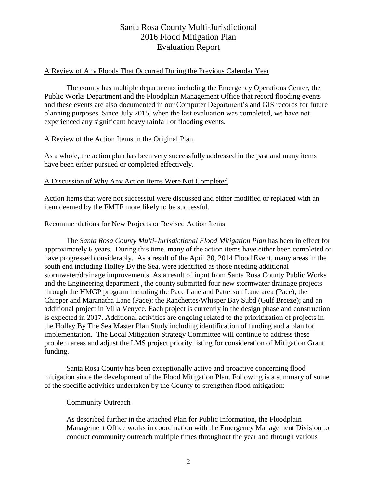#### A Review of Any Floods That Occurred During the Previous Calendar Year

The county has multiple departments including the Emergency Operations Center, the Public Works Department and the Floodplain Management Office that record flooding events and these events are also documented in our Computer Department's and GIS records for future planning purposes. Since July 2015, when the last evaluation was completed, we have not experienced any significant heavy rainfall or flooding events.

### A Review of the Action Items in the Original Plan

As a whole, the action plan has been very successfully addressed in the past and many items have been either pursued or completed effectively.

### A Discussion of Why Any Action Items Were Not Completed

Action items that were not successful were discussed and either modified or replaced with an item deemed by the FMTF more likely to be successful.

#### Recommendations for New Projects or Revised Action Items

The *Santa Rosa County Multi-Jurisdictional Flood Mitigation Plan* has been in effect for approximately 6 years. During this time, many of the action items have either been completed or have progressed considerably. As a result of the April 30, 2014 Flood Event, many areas in the south end including Holley By the Sea, were identified as those needing additional stormwater/drainage improvements. As a result of input from Santa Rosa County Public Works and the Engineering department , the county submitted four new stormwater drainage projects through the HMGP program including the Pace Lane and Patterson Lane area (Pace); the Chipper and Maranatha Lane (Pace): the Ranchettes/Whisper Bay Subd (Gulf Breeze); and an additional project in Villa Venyce. Each project is currently in the design phase and construction is expected in 2017. Additional activities are ongoing related to the prioritization of projects in the Holley By The Sea Master Plan Study including identification of funding and a plan for implementation. The Local Mitigation Strategy Committee will continue to address these problem areas and adjust the LMS project priority listing for consideration of Mitigation Grant funding.

Santa Rosa County has been exceptionally active and proactive concerning flood mitigation since the development of the Flood Mitigation Plan. Following is a summary of some of the specific activities undertaken by the County to strengthen flood mitigation:

#### Community Outreach

As described further in the attached Plan for Public Information, the Floodplain Management Office works in coordination with the Emergency Management Division to conduct community outreach multiple times throughout the year and through various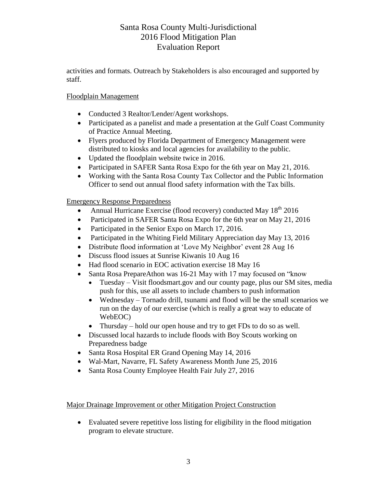activities and formats. Outreach by Stakeholders is also encouraged and supported by staff.

## Floodplain Management

- Conducted 3 Realtor/Lender/Agent workshops.
- Participated as a panelist and made a presentation at the Gulf Coast Community of Practice Annual Meeting.
- Flyers produced by Florida Department of Emergency Management were distributed to kiosks and local agencies for availability to the public.
- Updated the floodplain website twice in 2016.
- Participated in SAFER Santa Rosa Expo for the 6th year on May 21, 2016.
- Working with the Santa Rosa County Tax Collector and the Public Information Officer to send out annual flood safety information with the Tax bills.

### Emergency Response Preparedness

- Annual Hurricane Exercise (flood recovery) conducted May  $18^{th}$  2016
- Participated in SAFER Santa Rosa Expo for the 6th year on May 21, 2016
- Participated in the Senior Expo on March 17, 2016.
- Participated in the Whiting Field Military Appreciation day May 13, 2016
- Distribute flood information at 'Love My Neighbor' event 28 Aug 16
- Discuss flood issues at Sunrise Kiwanis 10 Aug 16
- Had flood scenario in EOC activation exercise 18 May 16
- Santa Rosa PrepareAthon was 16-21 May with 17 may focused on "know"
	- Tuesday Visit floodsmart.gov and our county page, plus our SM sites, media push for this, use all assets to include chambers to push information
	- Wednesday Tornado drill, tsunami and flood will be the small scenarios we run on the day of our exercise (which is really a great way to educate of WebEOC)
	- Thursday hold our open house and try to get FDs to do so as well.
- Discussed local hazards to include floods with Boy Scouts working on Preparedness badge
- Santa Rosa Hospital ER Grand Opening May 14, 2016
- Wal-Mart, Navarre, FL Safety Awareness Month June 25, 2016
- Santa Rosa County Employee Health Fair July 27, 2016

### Major Drainage Improvement or other Mitigation Project Construction

 Evaluated severe repetitive loss listing for eligibility in the flood mitigation program to elevate structure.